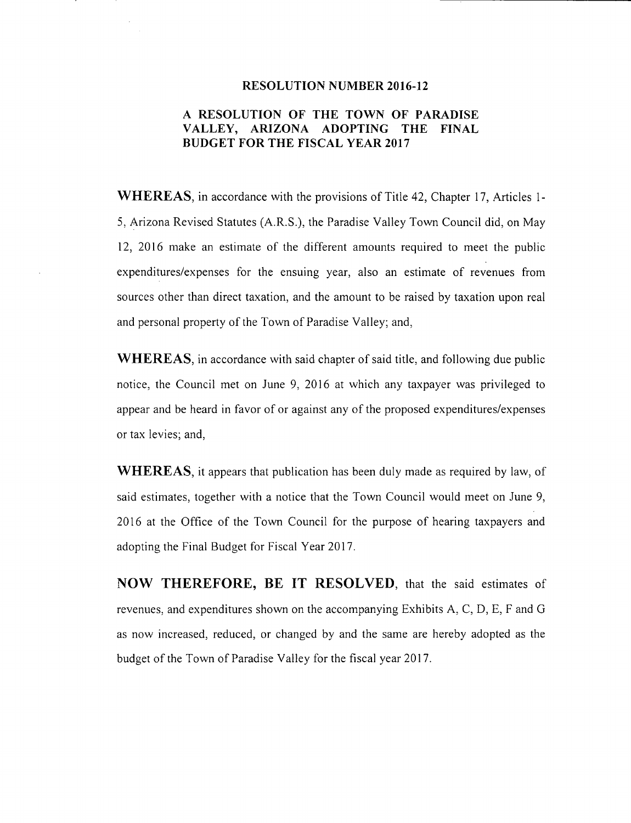#### **RESOLUTION NUMBER 2016-12**

## **A RESOLUTION OF THE TOWN OF PARADISE VALLEY, ARIZONA ADOPTING THE FINAL BUDGET FOR THE FISCAL YEAR 2017**

**WHEREAS,** in accordance with the provisions of Title 42, Chapter 17, Articles 1- 5, Arizona Revised Statutes (A.R.S.), the Paradise Valley Town Council did, on May 12, 2016 make an estimate of the different amounts required to meet the public expenditures/expenses for the ensuing year, also an estimate of revenues from sources other than direct taxation, and the amount to be raised by taxation upon real and personal property of the Town of Paradise Valley; and,

**WHEREAS,** in accordance with said chapter of said title, and following due public notice, the Council met on June 9, 2016 at which any taxpayer was privileged to appear and be heard in favor of or against any of the proposed expenditures/expenses or tax levies; and,

**WHEREAS,** it appears that publication has been duly made as required by law, of said estimates, together with a notice that the Town Council would meet on June 9, 2016 at the Office of the Town Council for the purpose of hearing taxpayers and adopting the Final Budget for Fiscal Year 2017.

**NOW THEREFORE, BE IT RESOLVED,** that the said estimates of revenues, and expenditures shown on the accompanying Exhibits A, C, D, E, F and G as now increased, reduced, or changed by and the same are hereby adopted as the budget of the Town of Paradise Valley for the fiscal year 2017.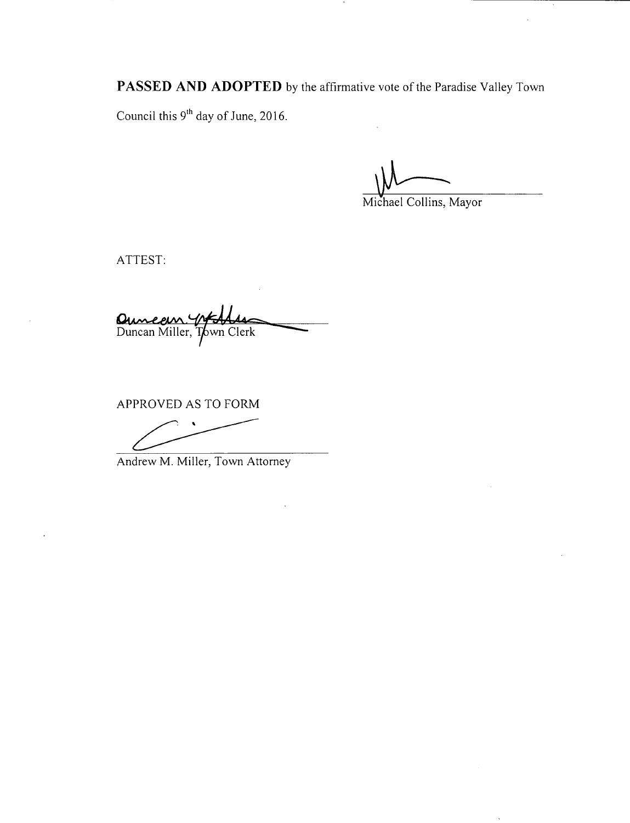**PASSED AND ADOPTED** by the affirmative vote of the Paradise Valley Town

 $\cdot$ 

Council this  $9<sup>th</sup>$  day of June, 2016.

 $\sqrt{v-1}$ 

Michael Collins, Mayor

ATTEST:

Quinceur Willer, Town Clerk

APPROVED AS TO FORM

Andrew M. Miller, Town Attorney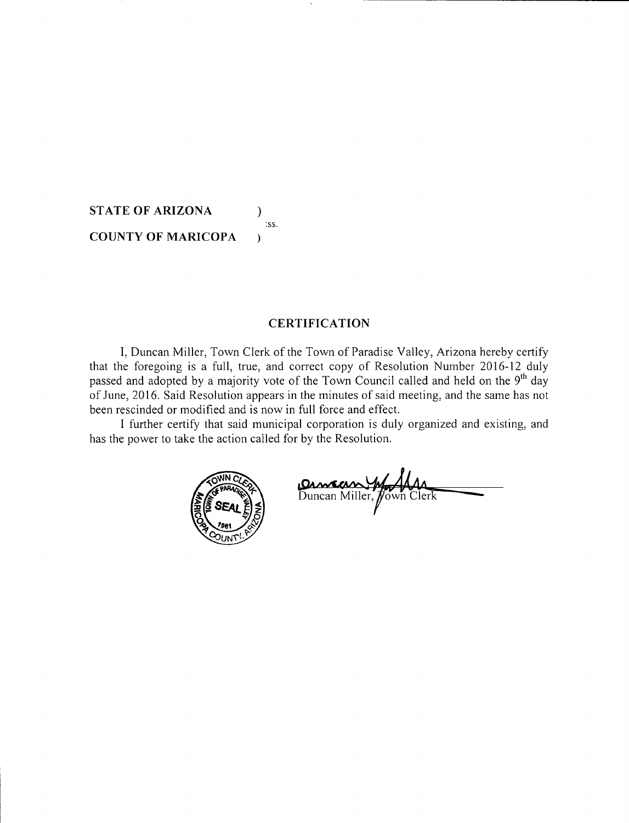**STATE OF ARIZONA** ) :ss. **COUNTY OF MARICOPA** 

## **CERTIFICATION**

I, Duncan Miller, Town Clerk of the Town of Paradise Valley, Arizona hereby certify that the foregoing is a full, true, and correct copy of Resolution Number 2016-12 duly passed and adopted by a majority vote of the Town Council called and held on the 9<sup>th</sup> day of June, 2016. Said Resolution appears in the minutes of said meeting, and the same has not been rescinded or modified and is now in full force and effect.

I further certify that said municipal corporation is duly organized and existing, and has the power to take the action called for by the Resolution.



Duncan Miller, Jown Clerk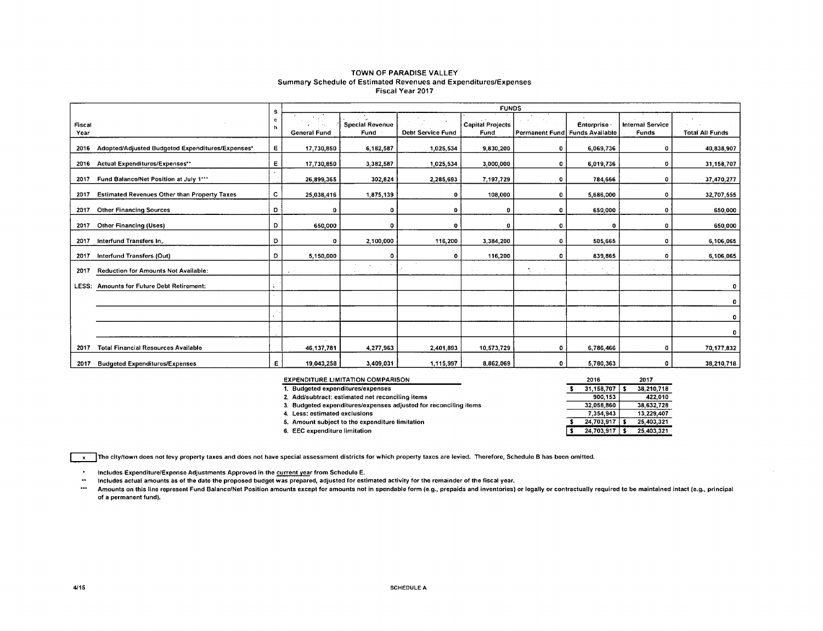#### TOWN OF PARADISE VALLEY Summary Schedule of Estimated Revenues and Expenditures/Expenses Fiscal Year 2017

|                |                                                     | <b>FUNDS</b><br>s |                                        |                                |                          |                                 |                                |                      |                                  |                        |  |  |  |
|----------------|-----------------------------------------------------|-------------------|----------------------------------------|--------------------------------|--------------------------|---------------------------------|--------------------------------|----------------------|----------------------------------|------------------------|--|--|--|
| Fiscal<br>Year |                                                     | c<br>h            | <b>Contract</b><br><b>General Fund</b> | <b>Special Revenue</b><br>Fund | <b>Debt Service Fund</b> | <b>Capital Projects</b><br>Fund | Permanent Fund Funds Available | Enterprise           | <b>Internal Service</b><br>Funds | <b>Total All Funds</b> |  |  |  |
| 2016           | Adopted/Adjusted Budgeted Expenditures/Expenses*    | Е.                | 17,730,850                             | 6,182,587                      | 1,025,534                | 9,830,200                       | $\Omega$                       | 6,069,736            | $\mathbf 0$                      | 40,838,907             |  |  |  |
| 2016           | <b>Actual Expenditures/Expenses**</b>               | E                 | 17,730,850                             | 3,382,587                      | 1,025,534                | 3,000,000                       | $\mathbf 0$                    | 6,019,736            | 0                                | 31,158,707             |  |  |  |
| 2017           | Fund Balance/Net Position at July 1***              |                   | 26,899,365                             | 302,824                        | 2,285,693                | 7,197,729                       | $\mathbf 0$                    | 784,666              | 0                                | 37,470,277             |  |  |  |
| 2017           | <b>Estimated Revenues Other than Property Taxes</b> | c                 | 25,038,416                             | 1,875,139                      | ٥                        | 108,000                         | $\mathbf 0$                    | 5,686,000            | ٥                                | 32,707,555             |  |  |  |
| 2017           | <b>Other Financing Sources</b>                      | D                 | ٥                                      |                                | ٥                        | o                               | 0                              | 650,000              | 0                                | 650,000                |  |  |  |
| 2017           | <b>Other Financing (Uses)</b>                       | D                 | 650,000                                | Ω                              | n                        | $\Omega$                        | 0                              | o                    | 0                                | 650,000                |  |  |  |
| 2017           | Interfund Transfers In                              | D                 | 0                                      | 2,100,000                      | 116,200                  | 3.384,200                       | $\Omega$                       | 505,665              | 0                                | 6,106,065              |  |  |  |
| 2017           | Interfund Transfers (Out)                           | D                 | 5,150,000                              |                                | 0                        | 116,200                         | -0                             | 839,865              | 0                                | 6,106,065              |  |  |  |
| 2017           | <b>Reduction for Amounts Not Available:</b>         |                   |                                        | $\mathbf{r}$                   |                          |                                 | ۰.                             | $\ddot{\phantom{0}}$ |                                  |                        |  |  |  |
| LESS:          | <b>Amounts for Future Debt Retirement:</b>          |                   |                                        |                                |                          |                                 |                                |                      |                                  | ۰                      |  |  |  |
|                |                                                     |                   |                                        |                                |                          |                                 |                                |                      |                                  | 0                      |  |  |  |
|                |                                                     |                   |                                        |                                |                          |                                 |                                |                      |                                  | 0                      |  |  |  |
|                |                                                     |                   |                                        |                                |                          |                                 |                                |                      |                                  | 0                      |  |  |  |
| 2017           | <b>Total Financial Resources Available</b>          |                   | 46 137 781                             | 4,277,963                      | 2,401,893                | 10,573,729                      | $\circ$                        | 6,786,466            | 0                                | 70,177,832             |  |  |  |
|                | 2017 Budgeted Expenditures/Expenses                 | E                 | 19.043,258                             | 3,409,031                      | 1,115,997                | 8,862,069                       | 0                              | 5,780,363            | $\Omega$                         | 38,210,718             |  |  |  |

| <b>EXPENDITURE LIMITATION COMPARISON</b>                         | 2016              | 2017       |  |
|------------------------------------------------------------------|-------------------|------------|--|
| 1. Budgeted expenditures/expenses                                | $31.158.707$   \$ | 38,210,718 |  |
| 2. Add/subtract: estimated net reconciling items                 | 900.153           | 422.010    |  |
| 3. Budgeted expenditures/expenses adjusted for reconciling items | 32,058,860        | 38.632.728 |  |
| 4. Less: estimated exclusions                                    | 7 354 943         | 13.229.407 |  |
| 5. Amount subject to the expenditure limitation                  | $24.703.917$   \$ | 25.403.321 |  |
| 6. EEC expenditure limitation                                    | $24.703.917$ S    | 25.403.321 |  |

**The city/town does not levy property taxes and does not have special assessment districts for which property taxes are levied. Therefore, Schedule B has been omitted.** 

 $\bullet$ **Includes Expenditure/Expense Adjustments Approved in tho current year from Schedule E.** 

 $\bullet\bullet$ **Includes actual amounts as of the date the proposed budget was prepared, adjusted for estimated activity for tho remainder of the fiscal year.** 

 $\cdots$ **Amounts on this line represent Fund Balance/Net Position amounts except for amounts not in spendable form (e.g., prepaids and inventories) or legally or contractually required to be maintained intact (e.g., principal**  of a permanent fund).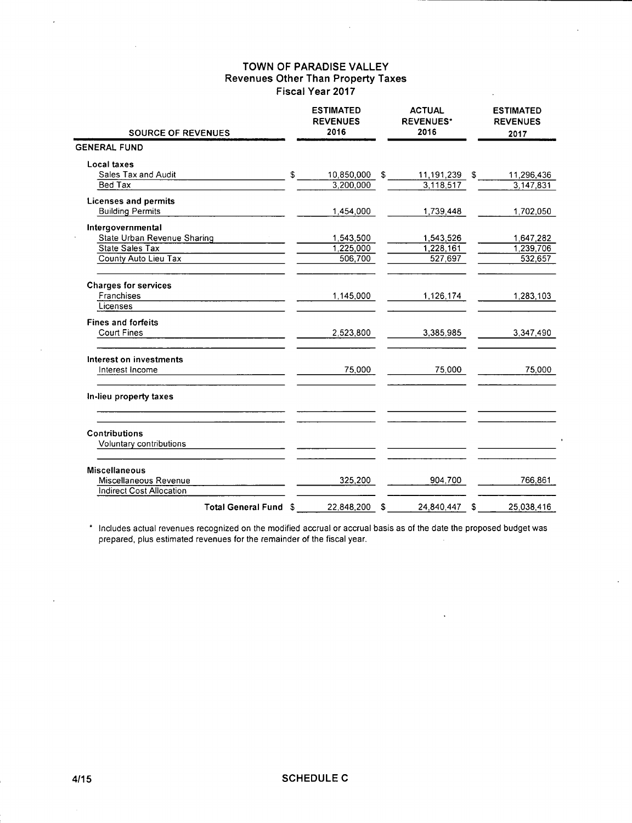| <b>SOURCE OF REVENUES</b>                                |               | <b>ESTIMATED</b><br><b>REVENUES</b><br>2016 | <b>ACTUAL</b><br><b>REVENUES*</b><br>2016 |               | <b>ESTIMATED</b><br><b>REVENUES</b><br>2017 |            |
|----------------------------------------------------------|---------------|---------------------------------------------|-------------------------------------------|---------------|---------------------------------------------|------------|
| <b>GENERAL FUND</b>                                      |               |                                             |                                           |               |                                             |            |
| Local taxes                                              |               |                                             |                                           |               |                                             |            |
| Sales Tax and Audit                                      | $\mathsf{\$}$ | 10,850,000 \$                               |                                           | 11,191,239 \$ |                                             | 11,296,436 |
| Bed Tax                                                  |               | 3,200,000                                   |                                           | 3,118,517     |                                             | 3,147,831  |
| <b>Licenses and permits</b>                              |               |                                             |                                           |               |                                             |            |
| <b>Building Permits</b>                                  |               | 1,454,000                                   |                                           | 1,739,448     |                                             | 1,702,050  |
| Intergovernmental                                        |               |                                             |                                           |               |                                             |            |
| State Urban Revenue Sharing                              |               | 1,543,500                                   |                                           | 1,543,526     |                                             | 1,647,282  |
| State Sales Tax                                          |               | 1,225,000                                   |                                           | 1,228,161     |                                             | 1.239.706  |
| County Auto Lieu Tax                                     |               | 506,700                                     |                                           | 527,697       |                                             | 532,657    |
| <b>Charges for services</b>                              |               |                                             |                                           |               |                                             |            |
| Franchises                                               |               | 1,145,000                                   |                                           | 1,126,174     |                                             | 1,283,103  |
| Licenses                                                 |               |                                             |                                           |               |                                             |            |
| <b>Fines and forfeits</b>                                |               |                                             |                                           |               |                                             |            |
| <b>Court Fines</b>                                       |               | 2,523,800                                   |                                           | 3,385,985     |                                             | 3,347,490  |
| Interest on investments                                  |               |                                             |                                           |               |                                             |            |
| Interest Income                                          |               | 75,000                                      |                                           | 75,000        |                                             | 75,000     |
| In-lieu property taxes                                   |               |                                             |                                           |               |                                             |            |
| <b>Contributions</b>                                     |               |                                             |                                           |               |                                             |            |
| Voluntary contributions                                  |               |                                             |                                           |               |                                             |            |
| <b>Miscellaneous</b>                                     |               |                                             |                                           |               |                                             |            |
| Miscellaneous Revenue<br><b>Indirect Cost Allocation</b> |               | 325,200                                     |                                           | 904,700       |                                             | 766,861    |
| Total General Fund \$                                    |               | 22,848,200                                  | S                                         | 24.840.447    | S                                           | 25.038.416 |

\* Includes actual revenues recognized on the modified accrual or accrual basis as of the date the proposed budget was prepared, plus estimated revenues for the remainder of the fiscal year.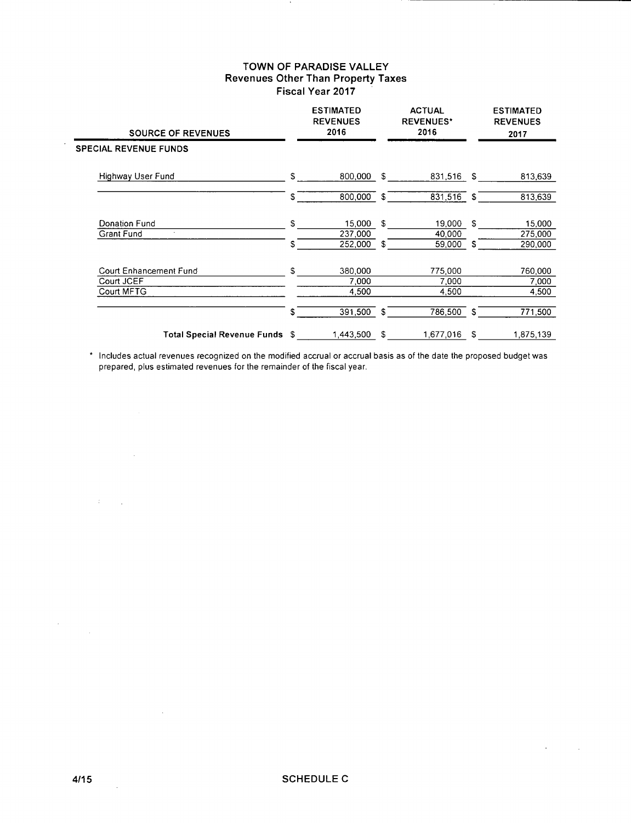| <b>SOURCE OF REVENUES</b>    |              | <b>ESTIMATED</b><br><b>REVENUES</b><br>2016 |    | <b>ACTUAL</b><br><b>REVENUES*</b><br>2016 |     | <b>ESTIMATED</b><br><b>REVENUES</b><br>2017 |
|------------------------------|--------------|---------------------------------------------|----|-------------------------------------------|-----|---------------------------------------------|
| <b>SPECIAL REVENUE FUNDS</b> |              |                                             |    |                                           |     |                                             |
| Highway User Fund            | $\mathbb{S}$ | 800,000                                     | S. | 831,516 \$                                |     | 813,639                                     |
|                              | \$           | 800,000 \$                                  |    | 831,516 \$                                |     | 813,639                                     |
| Donation Fund<br>$\cdot$     | \$           | 15,000                                      | s. | 19,000                                    | s.  | 15,000                                      |
| <b>Grant Fund</b>            | S            | 237,000<br>252,000                          | £. | 40,000<br>59,000                          | S.  | 275,000<br>290,000                          |
| Court Enhancement Fund       | \$           | 380,000                                     |    | 775,000                                   |     | 760,000                                     |
| Court JCEF<br>Court MFTG     |              | 7,000<br>4,500                              |    | 7,000<br>4,500                            |     | 7,000<br>4,500                              |
|                              | \$           | 391,500                                     | \$ | 786,500                                   | -\$ | 771,500                                     |
| Total Special Revenue Funds  | - \$         | 1,443,500                                   | S  | 1,677,016                                 | S   | 1,875,139                                   |

\* Includes actual revenues recognized on the modified accrual or accrual basis as of the date the proposed budget was prepared, plus estimated revenues for the remainder of the fiscal year.

 $\mathcal{L}$ 

 $\sim$ 

 $\label{eq:2} \frac{1}{\sqrt{2}}\int_{-\infty}^{\infty} \frac{1}{\sqrt{2\pi}}\left(\frac{1}{\sqrt{2\pi}}\right)^2\frac{1}{\sqrt{2\pi}}\,d\mu$ 

 $\sim$ 

 $\sim$ 

 $\{T_{\rm eff},T_{\rm eff}\}$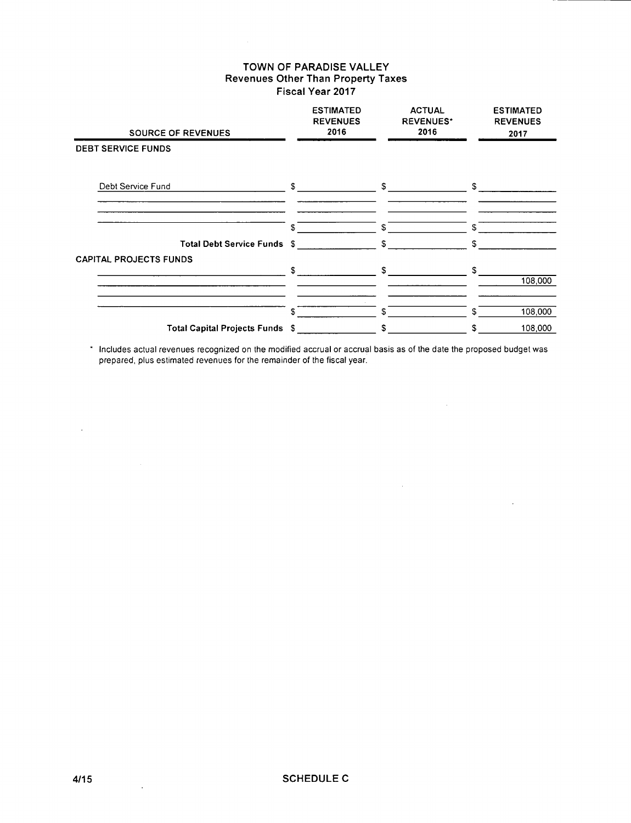$\mathcal{A}^{\pm}$ 

| <b>SOURCE OF REVENUES</b>       | <b>ESTIMATED</b><br><b>REVENUES</b><br>2016 | <b>ACTUAL</b><br><b>REVENUES*</b><br>2016 | <b>ESTIMATED</b><br><b>REVENUES</b><br>2017 |
|---------------------------------|---------------------------------------------|-------------------------------------------|---------------------------------------------|
| <b>DEBT SERVICE FUNDS</b>       |                                             |                                           |                                             |
| Debt Service Fund               | \$                                          | S                                         | S                                           |
| Total Debt Service Funds \$     | S                                           | \$.<br>s.                                 | S.<br>\$                                    |
| <b>CAPITAL PROJECTS FUNDS</b>   | \$                                          | S                                         | \$<br>108,000                               |
| Total Capital Projects Funds \$ | \$                                          | \$.<br>S.                                 | 108,000<br>\$.<br>108,000<br>S              |

\* Includes actual revenues recognized on the modified accrual or accrual basis as of the date the proposed budget was prepared, plus estimated revenues for the remainder of the fiscal year.

 $\Delta \sim$ 

 $\sim 10$ 

 $\sim 10^7$ 

 $\Delta \sim 10^4$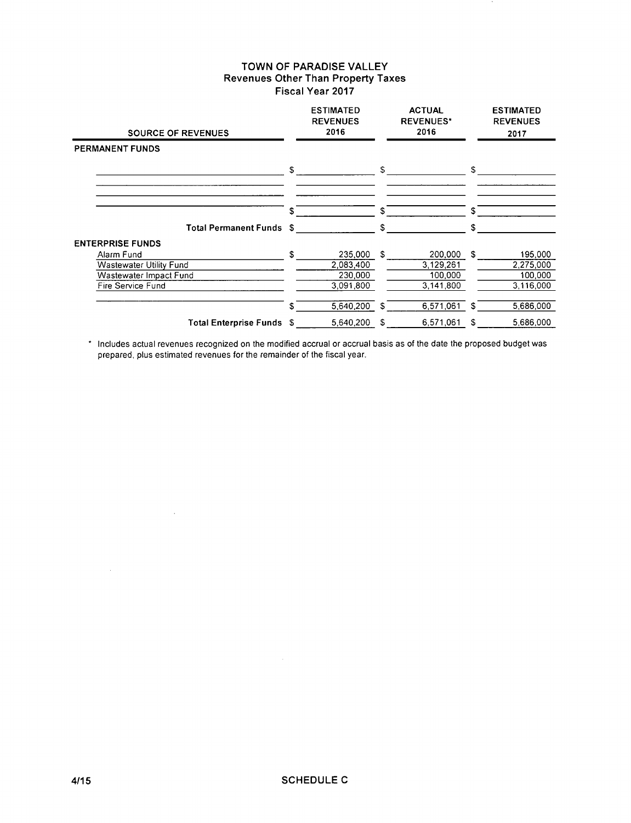| <b>SOURCE OF REVENUES</b>                                                                   |      | <b>ESTIMATED</b><br><b>REVENUES</b><br>2016  |    | <b>ACTUAL</b><br><b>REVENUES*</b><br>2016    |              | <b>ESTIMATED</b><br><b>REVENUES</b><br>2017  |
|---------------------------------------------------------------------------------------------|------|----------------------------------------------|----|----------------------------------------------|--------------|----------------------------------------------|
| <b>PERMANENT FUNDS</b>                                                                      |      |                                              |    |                                              |              |                                              |
|                                                                                             | \$   |                                              | \$ |                                              | \$           |                                              |
|                                                                                             | \$   |                                              | S  |                                              | \$           |                                              |
| <b>Total Permanent Funds</b>                                                                | - \$ |                                              | \$ |                                              | \$           |                                              |
| <b>ENTERPRISE FUNDS</b>                                                                     |      |                                              |    |                                              |              |                                              |
| Alarm Fund<br><b>Wastewater Utility Fund</b><br>Wastewater Impact Fund<br>Fire Service Fund | \$.  | 235,000<br>2.083.400<br>230,000<br>3,091,800 | S  | 200,000<br>3,129,261<br>100,000<br>3,141,800 | $\mathbf{r}$ | 195,000<br>2,275,000<br>100,000<br>3,116,000 |
|                                                                                             | \$   | 5.640.200                                    | -S | 6,571,061                                    | S.           | 5,686,000                                    |
| Total Enterprise Funds \$                                                                   |      | 5,640,200                                    | S  | 6,571,061                                    | \$           | 5,686,000                                    |

\* Includes actual revenues recognized on the modified accrual or accrual basis as of the date the proposed budget was prepared, plus estimated revenues for the remainder of the fiscal year.

 $\sim 10^7$ 

 $\sim$   $\sim$ 

 $\sim 10^{-1}$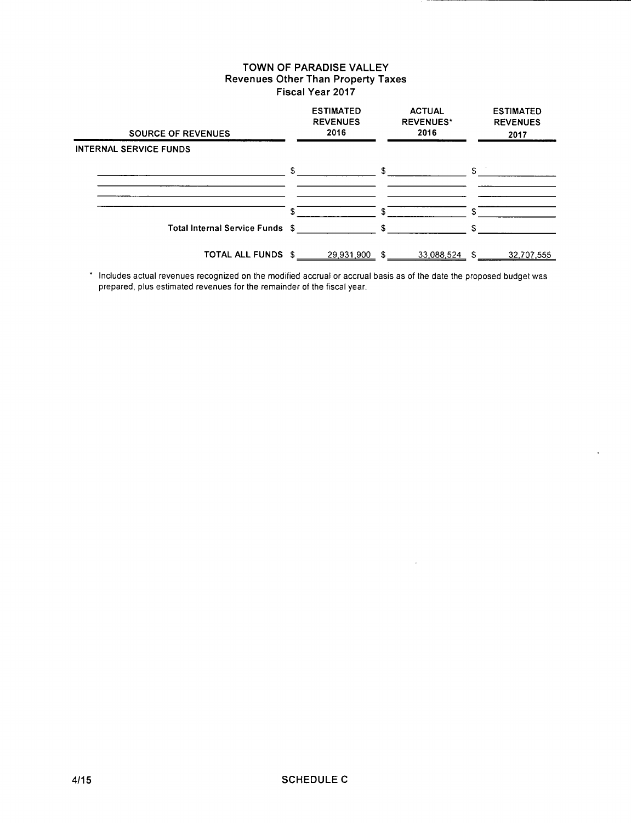| <b>SOURCE OF REVENUES</b>       | <b>ESTIMATED</b><br><b>REVENUES</b><br>2016 |    | <b>ACTUAL</b><br><b>REVENUES*</b><br>2016 |            | <b>ESTIMATED</b><br><b>REVENUES</b><br>2017 |
|---------------------------------|---------------------------------------------|----|-------------------------------------------|------------|---------------------------------------------|
| <b>INTERNAL SERVICE FUNDS</b>   |                                             |    |                                           |            |                                             |
|                                 | \$                                          | S. |                                           | $S^{\sim}$ |                                             |
|                                 |                                             |    |                                           |            |                                             |
|                                 |                                             |    |                                           | \$         |                                             |
| Total Internal Service Funds \$ |                                             | s. |                                           | S.         |                                             |
| <b>TOTAL ALL FUNDS \$</b>       | 29,931,900                                  | \$ | 33,088,524                                | -S         | 32,707,555                                  |

\* Includes actual revenues recognized on the modified accrual or accrual basis as of the date the proposed budget was prepared, plus estimated revenues for the remainder of the fiscal year.

 $\ddot{\phantom{a}}$ 

 $\mathbb{Z}$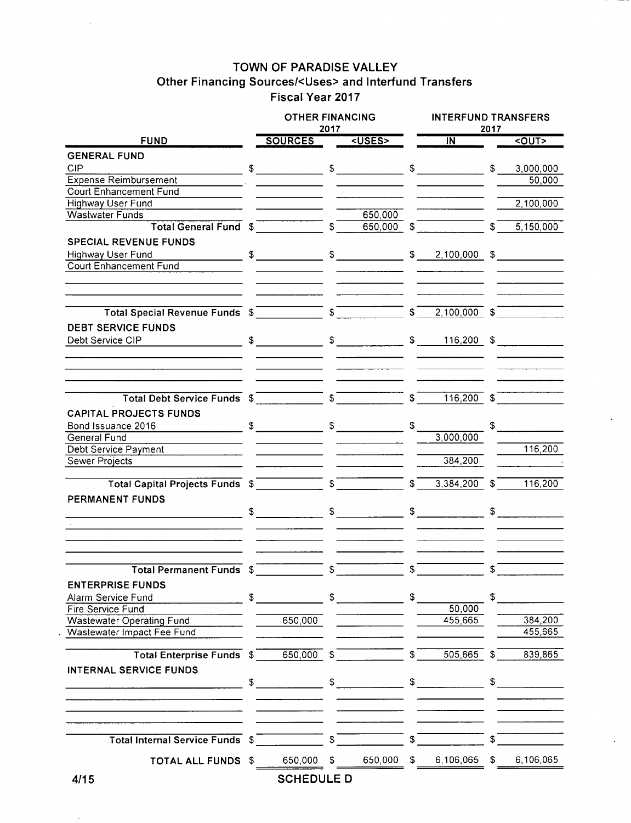# **TOWN OF PARADISE VALLEY Other Financing Sources/<Uses> and lnterfund Transfers Fiscal Year 2017**

|                                                                                                                                                                                                                                | <b>OTHER FINANCING</b>                                                      |                          |               |                  | <b>INTERFUND TRANSFERS</b><br>2017 |                |             |  |  |  |  |
|--------------------------------------------------------------------------------------------------------------------------------------------------------------------------------------------------------------------------------|-----------------------------------------------------------------------------|--------------------------|---------------|------------------|------------------------------------|----------------|-------------|--|--|--|--|
| <b>FUND</b>                                                                                                                                                                                                                    | <b>SOURCES</b>                                                              | 2017                     | <uses></uses> |                  | $\overline{N}$                     |                | <out></out> |  |  |  |  |
|                                                                                                                                                                                                                                |                                                                             |                          |               |                  |                                    |                |             |  |  |  |  |
| <b>GENERAL FUND</b>                                                                                                                                                                                                            |                                                                             |                          |               |                  |                                    |                |             |  |  |  |  |
| <b>CIP</b>                                                                                                                                                                                                                     | $\begin{array}{ccc} \texttt{S} & \texttt{S} & \texttt{S} \end{array}$       |                          |               |                  |                                    | \$             | 3,000,000   |  |  |  |  |
| <b>Expense Reimbursement</b>                                                                                                                                                                                                   |                                                                             |                          |               |                  |                                    |                | 50,000      |  |  |  |  |
| <b>Court Enhancement Fund</b>                                                                                                                                                                                                  |                                                                             |                          |               |                  |                                    |                |             |  |  |  |  |
| <b>Highway User Fund</b>                                                                                                                                                                                                       |                                                                             |                          |               |                  |                                    |                | 2,100,000   |  |  |  |  |
| <b>Wastwater Funds</b>                                                                                                                                                                                                         |                                                                             |                          | 650,000       |                  |                                    |                |             |  |  |  |  |
| Total General Fund \$                                                                                                                                                                                                          |                                                                             | $\overline{\mathcal{S}}$ | 650,000       | $\mathfrak{F}$   |                                    | $\mathsf{s}^-$ | 5,150,000   |  |  |  |  |
| <b>SPECIAL REVENUE FUNDS</b>                                                                                                                                                                                                   |                                                                             |                          |               |                  |                                    |                |             |  |  |  |  |
| Highway User Fund                                                                                                                                                                                                              | $\frac{1}{2}$ \$ $\frac{1}{2}$ \$ $\frac{1}{2}$ \$ $\frac{2,100,000}{2}$ \$ |                          |               |                  |                                    |                |             |  |  |  |  |
| <b>Court Enhancement Fund</b>                                                                                                                                                                                                  |                                                                             |                          |               |                  |                                    |                |             |  |  |  |  |
|                                                                                                                                                                                                                                |                                                                             |                          |               |                  |                                    |                |             |  |  |  |  |
|                                                                                                                                                                                                                                |                                                                             |                          |               |                  |                                    |                |             |  |  |  |  |
| Total Special Revenue Funds \$ 5 5 5 5 5 5 5 5 6 7 7 8 7 7 8 7 7 8 7 7 8 7 8 7 8 7 7 8 7 8 7 8 7 8 7 8 7 8 7 8 7 8 7 8 7 8 7 8 7 8 7 8 7 8 7 8 7 8 7 8 7 8 7 8 7 8 7 8 7 8 7 8 7 8 7 8 7 8 7 8 7 8 7 8 7 8 7 8 7 8 7 8 7 8 7 8 |                                                                             |                          |               | $\sqrt{s}$       | $2,100,000$ \$                     |                |             |  |  |  |  |
| <b>DEBT SERVICE FUNDS</b>                                                                                                                                                                                                      |                                                                             |                          |               |                  |                                    |                |             |  |  |  |  |
| Debt Service CIP                                                                                                                                                                                                               |                                                                             |                          |               |                  | $$ 116,200 $ \$                    |                |             |  |  |  |  |
|                                                                                                                                                                                                                                |                                                                             |                          |               |                  |                                    |                |             |  |  |  |  |
|                                                                                                                                                                                                                                |                                                                             |                          |               |                  |                                    |                |             |  |  |  |  |
|                                                                                                                                                                                                                                |                                                                             |                          |               |                  |                                    |                |             |  |  |  |  |
| Total Debt Service Funds \$                                                                                                                                                                                                    |                                                                             |                          |               | $\mathfrak{s}^-$ | $116,200$ \$                       |                |             |  |  |  |  |
| <b>CAPITAL PROJECTS FUNDS</b>                                                                                                                                                                                                  |                                                                             |                          |               |                  |                                    |                |             |  |  |  |  |
|                                                                                                                                                                                                                                |                                                                             |                          |               | S.               |                                    |                |             |  |  |  |  |
| General Fund                                                                                                                                                                                                                   |                                                                             |                          |               |                  | 3,000,000                          |                |             |  |  |  |  |
| Debt Service Payment                                                                                                                                                                                                           |                                                                             |                          |               |                  |                                    |                | 116,200     |  |  |  |  |
| Sewer Projects                                                                                                                                                                                                                 |                                                                             |                          |               |                  | 384,200                            |                |             |  |  |  |  |
|                                                                                                                                                                                                                                |                                                                             |                          |               |                  |                                    |                |             |  |  |  |  |
| Total Capital Projects Funds \$                                                                                                                                                                                                |                                                                             |                          |               | $\mathfrak{s}^-$ | 3,384,200                          | \$             | 116,200     |  |  |  |  |
|                                                                                                                                                                                                                                |                                                                             |                          |               |                  |                                    |                |             |  |  |  |  |
| PERMANENT FUNDS                                                                                                                                                                                                                |                                                                             |                          |               |                  |                                    |                |             |  |  |  |  |
|                                                                                                                                                                                                                                |                                                                             |                          |               |                  | $\frac{1}{\sqrt{2}}$               |                | $\sim$      |  |  |  |  |
|                                                                                                                                                                                                                                |                                                                             |                          |               |                  |                                    |                |             |  |  |  |  |
|                                                                                                                                                                                                                                |                                                                             |                          |               |                  |                                    |                |             |  |  |  |  |
| <b>Total Permanent Funds \$</b>                                                                                                                                                                                                |                                                                             | \$                       |               | \$               |                                    | \$             |             |  |  |  |  |
| <b>ENTERPRISE FUNDS</b>                                                                                                                                                                                                        |                                                                             |                          |               |                  |                                    |                |             |  |  |  |  |
|                                                                                                                                                                                                                                |                                                                             |                          |               |                  |                                    |                |             |  |  |  |  |
| Alarm Service Fund                                                                                                                                                                                                             | \$                                                                          |                          | $S$ and $S$   | \$               |                                    | \$             |             |  |  |  |  |
| Fire Service Fund                                                                                                                                                                                                              |                                                                             |                          |               |                  | 50,000                             |                |             |  |  |  |  |
| Wastewater Operating Fund                                                                                                                                                                                                      | 650,000                                                                     |                          |               |                  | 455,665                            |                | 384,200     |  |  |  |  |
| Wastewater Impact Fee Fund                                                                                                                                                                                                     |                                                                             |                          |               |                  |                                    |                | 455,665     |  |  |  |  |
| Total Enterprise Funds \$                                                                                                                                                                                                      | $650,000$ \$                                                                |                          |               | S.               | 505,665                            | S.             | 839,865     |  |  |  |  |
| <b>INTERNAL SERVICE FUNDS</b>                                                                                                                                                                                                  |                                                                             |                          |               |                  |                                    |                |             |  |  |  |  |
|                                                                                                                                                                                                                                | $\sim$                                                                      |                          | $\sim$        |                  | $\frac{1}{\sqrt{2}}$               | $\mathbb{S}$   |             |  |  |  |  |
|                                                                                                                                                                                                                                |                                                                             |                          |               |                  |                                    |                |             |  |  |  |  |
|                                                                                                                                                                                                                                |                                                                             |                          |               |                  |                                    |                |             |  |  |  |  |
| Total Internal Service Funds \$                                                                                                                                                                                                |                                                                             |                          |               |                  |                                    |                |             |  |  |  |  |
|                                                                                                                                                                                                                                |                                                                             |                          |               |                  |                                    |                |             |  |  |  |  |
| TOTAL ALL FUNDS \$                                                                                                                                                                                                             | 650,000                                                                     | S.                       | 650,000       | S.               | 6,106,065                          | S.             | 6,106,065   |  |  |  |  |
| 4/15                                                                                                                                                                                                                           | <b>SCHEDULE D</b>                                                           |                          |               |                  |                                    |                |             |  |  |  |  |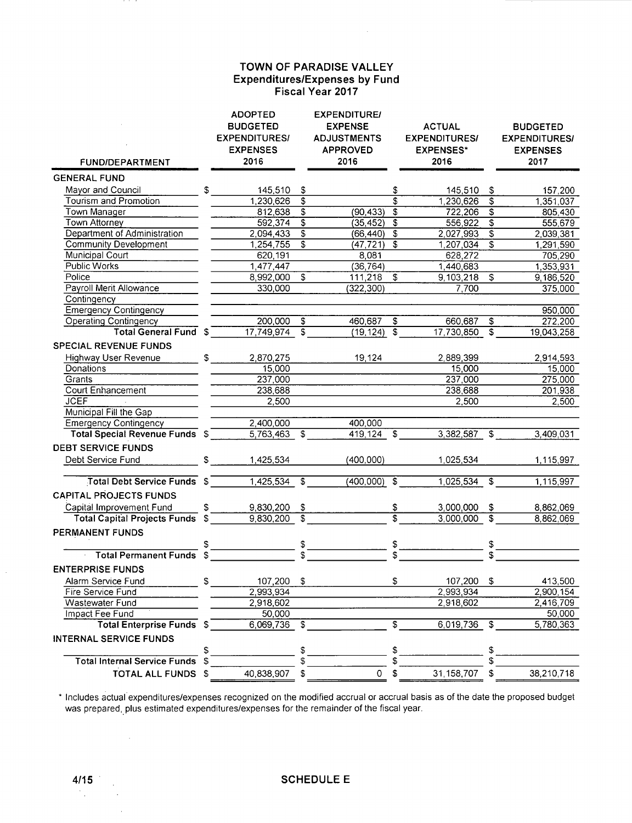### **TOWN OF PARADISE VALLEY Expenditures/Expenses by Fund Fiscal Year 2017**

| <b>FUND/DEPARTMENT</b>              |            | <b>ADOPTED</b><br><b>BUDGETED</b><br><b>EXPENDITURES/</b><br><b>EXPENSES</b><br>2016 |                           | <b>EXPENDITURE/</b><br><b>EXPENSE</b><br><b>ADJUSTMENTS</b><br><b>APPROVED</b><br>2016 |                               | <b>ACTUAL</b><br><b>EXPENDITURES/</b><br><b>EXPENSES*</b><br>2016 |                           | <b>BUDGETED</b><br><b>EXPENDITURES/</b><br><b>EXPENSES</b><br>2017 |
|-------------------------------------|------------|--------------------------------------------------------------------------------------|---------------------------|----------------------------------------------------------------------------------------|-------------------------------|-------------------------------------------------------------------|---------------------------|--------------------------------------------------------------------|
| <b>GENERAL FUND</b>                 |            |                                                                                      |                           |                                                                                        |                               |                                                                   |                           |                                                                    |
| Mayor and Council                   | S.         | 145,510                                                                              | \$                        |                                                                                        | \$                            | 145,510                                                           | \$                        | 157,200                                                            |
| <b>Tourism and Promotion</b>        |            | 1,230,626                                                                            | \$                        |                                                                                        | \$                            | 1,230,626                                                         | \$                        | 1,351,037                                                          |
| Town Manager                        |            | 812,638                                                                              | \$                        | (90, 433)                                                                              | \$                            | 722,206                                                           | \$                        | 805,430                                                            |
| <b>Town Attorney</b>                |            | 592,374                                                                              | \$                        | (35, 452)                                                                              | $\overline{\mathfrak{s}}$     | 556,922                                                           | $\overline{\mathfrak{s}}$ | 555,679                                                            |
| Department of Administration        |            | 2,094,433                                                                            | \$                        | (66, 440)                                                                              | $\overline{\mathfrak{s}}$     | 2,027,993                                                         | $\overline{\mathfrak{s}}$ | 2,039,381                                                          |
| <b>Community Development</b>        |            | 1,254,755                                                                            | \$                        | (47, 721)                                                                              | \$                            | 1,207,034                                                         | \$                        | 1,291,590                                                          |
| Municipal Court                     |            | 620,191                                                                              |                           | 8,081                                                                                  |                               | 628,272                                                           |                           | 705,290                                                            |
| Public Works                        |            | 1,477,447                                                                            |                           | (36, 764)                                                                              |                               | 1,440,683                                                         |                           | 1,353,931                                                          |
| Police                              |            | 8,992,000                                                                            | $\overline{\mathsf{s}}$   | 111,218                                                                                | \$                            | 9,103,218                                                         | $\overline{\mathcal{S}}$  | 9,186,520                                                          |
| Payroll Merit Allowance             |            | 330,000                                                                              |                           | (322, 300)                                                                             |                               | 7,700                                                             |                           | 375,000                                                            |
| Contingency                         |            |                                                                                      |                           |                                                                                        |                               |                                                                   |                           |                                                                    |
| <b>Emergency Contingency</b>        |            |                                                                                      |                           |                                                                                        |                               |                                                                   |                           | 950,000                                                            |
| <b>Operating Contingency</b>        |            | 200,000                                                                              | \$                        | 460,687                                                                                | \$                            | 660,687                                                           | \$                        | 272,200                                                            |
| <b>Total General Fund</b>           | S          | 17,749,974                                                                           | S                         | (19, 124)                                                                              | $\overline{\mathcal{S}}$      | 17,730,850                                                        | S                         | 19,043,258                                                         |
| <b>SPECIAL REVENUE FUNDS</b>        |            |                                                                                      |                           |                                                                                        |                               |                                                                   |                           |                                                                    |
| Highway User Revenue                | \$         | 2,870,275                                                                            |                           | 19,124                                                                                 |                               | 2,889,399                                                         |                           | 2,914,593                                                          |
| Donations                           |            | 15,000                                                                               |                           |                                                                                        |                               | 15,000                                                            |                           | 15,000                                                             |
| Grants                              |            | 237,000                                                                              |                           |                                                                                        |                               | 237,000                                                           |                           | 275,000                                                            |
| Court Enhancement                   |            | 238,688                                                                              |                           |                                                                                        |                               | 238,688                                                           |                           | 201,938                                                            |
| <b>JCEF</b>                         |            | 2,500                                                                                |                           |                                                                                        |                               | 2,500                                                             |                           | 2,500                                                              |
| Municipal Fill the Gap              |            |                                                                                      |                           |                                                                                        |                               |                                                                   |                           |                                                                    |
| <b>Emergency Contingency</b>        |            | 2,400,000                                                                            |                           | 400,000                                                                                |                               |                                                                   |                           |                                                                    |
| Total Special Revenue Funds \$      |            | 5,763,463                                                                            | $\overline{\mathfrak{s}}$ | $419,124$ \$                                                                           |                               | $3,382,587$ \$                                                    |                           | 3,409,031                                                          |
| <b>DEBT SERVICE FUNDS</b>           |            |                                                                                      |                           |                                                                                        |                               |                                                                   |                           |                                                                    |
| Debt Service Fund                   | \$         | 1,425,534                                                                            |                           | (400,000)                                                                              |                               | 1,025,534                                                         |                           | 1,115,997                                                          |
|                                     |            |                                                                                      |                           |                                                                                        |                               |                                                                   |                           |                                                                    |
| Total Debt Service Funds            | $\sqrt{2}$ | 1,425,534                                                                            | \$                        | (400,000)                                                                              | $\mathfrak{S}$                | 1,025,534                                                         | $\overline{\mathcal{S}}$  | 1,115,997                                                          |
| <b>CAPITAL PROJECTS FUNDS</b>       |            |                                                                                      |                           |                                                                                        |                               |                                                                   |                           |                                                                    |
| Capital Improvement Fund            | \$         |                                                                                      |                           |                                                                                        |                               |                                                                   |                           |                                                                    |
| <b>Total Capital Projects Funds</b> | \$         | 9,830,200<br>9,830,200                                                               | \$<br>\$                  |                                                                                        | \$<br>$\overline{\mathbf{s}}$ | 3,000,000<br>3,000,000                                            | \$<br>\$                  | 8,862,069<br>8,862,069                                             |
|                                     |            |                                                                                      |                           |                                                                                        |                               |                                                                   |                           |                                                                    |
| PERMANENT FUNDS                     |            |                                                                                      |                           |                                                                                        |                               |                                                                   |                           |                                                                    |
|                                     | \$         |                                                                                      | \$                        |                                                                                        | $\frac{1}{2}$                 |                                                                   | \$<br>\$                  |                                                                    |
| <b>Total Permanent Funds</b>        | \$         |                                                                                      |                           |                                                                                        |                               |                                                                   |                           |                                                                    |
| <b>ENTERPRISE FUNDS</b>             |            |                                                                                      |                           |                                                                                        |                               |                                                                   |                           |                                                                    |
| Alarm Service Fund                  | \$         | 107,200                                                                              | \$                        |                                                                                        | \$                            | 107,200                                                           | \$                        | 413,500                                                            |
| Fire Service Fund                   |            | 2,993,934                                                                            |                           |                                                                                        |                               | 2,993,934                                                         |                           | 2,900,154                                                          |
| Wastewater Fund                     |            | 2,918,602                                                                            |                           |                                                                                        |                               | 2,918,602                                                         |                           | 2,416,709                                                          |
| Impact Fee Fund                     |            | 50,000                                                                               |                           |                                                                                        |                               |                                                                   |                           | 50,000                                                             |
| <b>Total Enterprise Funds</b>       | - \$       | 6,069,736                                                                            | \$                        |                                                                                        | \$                            | 6,019,736                                                         | \$                        | 5,780,363                                                          |
| <b>INTERNAL SERVICE FUNDS</b>       |            |                                                                                      |                           |                                                                                        |                               |                                                                   |                           |                                                                    |
|                                     | \$         |                                                                                      | \$                        |                                                                                        | \$                            |                                                                   | \$                        |                                                                    |
| <b>Total Internal Service Funds</b> | \$         |                                                                                      |                           |                                                                                        | \$                            |                                                                   | \$                        |                                                                    |
| TOTAL ALL FUNDS \$                  |            | 40,838,907                                                                           | \$                        | $\mathsf{O}$                                                                           | \$                            | 31,158,707                                                        | \$                        | 38,210,718                                                         |
|                                     |            |                                                                                      |                           |                                                                                        |                               |                                                                   |                           |                                                                    |

\* Includes actual-expenditures/expenses recognized on the modified accrual or accrual basis as of the date the proposed budget was prepared, plus estimated expenditures/expenses for the remainder of the fiscal year.

 $\mathcal{A}$ 

 $\sim$ 

 $\hat{\boldsymbol{\gamma}}$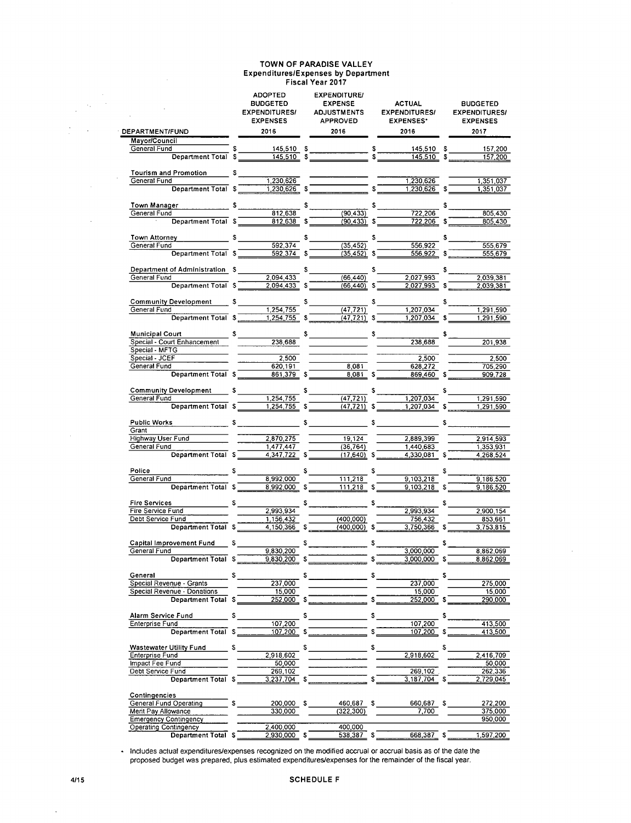#### **TOWN OF PARADISE VALLEY Expenditures/Expenses by Department Fiscal Year 2017**  ADOPTED **EXPENDITURE/**

|                                                                                                                                                                                                                                     |    | <b>ADOPTED</b><br><b>BUDGETED</b><br><b>EXPENDITURES/</b><br><b>EXPENSES</b> |    | <b>EXPENDITURE/</b><br><b>EXPENSE</b><br><b>ADJUSTMENTS</b><br><b>APPROVED</b> |     | <b>ACTUAL</b><br><b>EXPENDITURES/</b><br><b>EXPENSES*</b> |    | <b>BUDGETED</b><br><b>EXPENDITURES/</b><br><b>EXPENSES</b> |
|-------------------------------------------------------------------------------------------------------------------------------------------------------------------------------------------------------------------------------------|----|------------------------------------------------------------------------------|----|--------------------------------------------------------------------------------|-----|-----------------------------------------------------------|----|------------------------------------------------------------|
| <b>DEPARTMENT/FUND</b>                                                                                                                                                                                                              |    | 2016                                                                         |    | 2016                                                                           |     | 2016                                                      |    | 2017                                                       |
| Mayor/Council                                                                                                                                                                                                                       |    |                                                                              |    |                                                                                |     |                                                           |    |                                                            |
| General Fund                                                                                                                                                                                                                        |    |                                                                              |    |                                                                                |     | $145,510$ \$<br>$145.510$ \$                              |    | 157,200<br>157,200                                         |
|                                                                                                                                                                                                                                     |    |                                                                              |    |                                                                                |     |                                                           |    |                                                            |
| Tourism and Promotion                                                                                                                                                                                                               |    | $s$ $\qquad$                                                                 |    |                                                                                |     |                                                           |    |                                                            |
| General Fund<br>Department Total \$                                                                                                                                                                                                 |    | 1,230,626<br>1,230,626                                                       |    | $\frac{1}{\sqrt{1-\frac{1}{s}}}\sqrt{1-\frac{1}{s}}$                           |     | 1,230,626<br>1.230,626                                    |    | 1,351,037<br>1,351,037                                     |
|                                                                                                                                                                                                                                     |    |                                                                              |    |                                                                                |     |                                                           |    |                                                            |
|                                                                                                                                                                                                                                     |    |                                                                              | s  |                                                                                |     | $5 -$                                                     |    |                                                            |
|                                                                                                                                                                                                                                     |    |                                                                              |    | (90, 433)                                                                      |     | 722,206                                                   |    | 805,430                                                    |
| Department Total \$                                                                                                                                                                                                                 |    | $812,638$ \$                                                                 |    | $(90, 433)$ \$                                                                 |     | $722,206$ \$                                              |    | 805,430                                                    |
| Town Attorney 5                                                                                                                                                                                                                     |    |                                                                              |    |                                                                                |     |                                                           | s  |                                                            |
| General Fund                                                                                                                                                                                                                        |    | 592,374                                                                      |    | (35, 452)                                                                      |     | 556,922                                                   |    | 555.679                                                    |
| Department Total \$                                                                                                                                                                                                                 |    | 592.374                                                                      | \$ | $(35, 452)$ \$                                                                 |     | 556,922                                                   | \$ | 555.679                                                    |
| Department of Administration \$                                                                                                                                                                                                     |    |                                                                              | \$ |                                                                                |     | $s_{-}$                                                   | \$ |                                                            |
| General Fund                                                                                                                                                                                                                        |    | $\frac{1}{2,094,433}$                                                        |    | (66, 440)                                                                      |     | 2,027,993                                                 |    | 2,039,381                                                  |
| Department Total \$                                                                                                                                                                                                                 |    | 2,094,433                                                                    |    | (66, 440)                                                                      |     | 2,027,993                                                 |    | 2,039,381                                                  |
|                                                                                                                                                                                                                                     |    |                                                                              |    |                                                                                |     |                                                           |    |                                                            |
| <b>Community Development S</b><br>General Fund                                                                                                                                                                                      |    | 1,254,755                                                                    | s  | (47, 721)                                                                      |     | s.<br>1,207,034                                           | \$ | 1.291,590                                                  |
| Department Total \$                                                                                                                                                                                                                 |    | $1,254,755$ \$                                                               |    | $(47, 721)$ \$                                                                 |     | 1,207,034                                                 | \$ | 1.291.590                                                  |
|                                                                                                                                                                                                                                     |    |                                                                              |    |                                                                                |     |                                                           |    |                                                            |
| <b>Municipal Court</b><br>Special - Court Enhancement                                                                                                                                                                               |    |                                                                              |    | $s$ s                                                                          |     |                                                           | \$ |                                                            |
| Special - MFTG                                                                                                                                                                                                                      |    |                                                                              |    |                                                                                |     | 238,688                                                   |    | 201,938                                                    |
| Special - JCEF                                                                                                                                                                                                                      |    | 2,500                                                                        |    |                                                                                |     | 2,500                                                     |    | 2,500                                                      |
| General Fund                                                                                                                                                                                                                        |    | 620,191                                                                      |    | 8,081                                                                          |     | 628,272                                                   |    | 705,290                                                    |
| Department Total \$                                                                                                                                                                                                                 |    | 861.379 S                                                                    |    | 8.081S                                                                         |     | 869,460 \$                                                |    | 909.728                                                    |
| <b>Community Development S</b>                                                                                                                                                                                                      |    |                                                                              | s  |                                                                                |     |                                                           |    |                                                            |
| General Fund                                                                                                                                                                                                                        |    | 1,254,755                                                                    |    | $\frac{1}{(47,721)}$                                                           |     | 1,207,034                                                 |    | 1,291,590                                                  |
| Department Total \$                                                                                                                                                                                                                 |    | 1,254,755                                                                    | s  | (47.721)                                                                       | - S | 1,207,034                                                 |    | 1,291,590                                                  |
| Public Works <b>Service State State</b> State State State State State State State State State State State State State State State State State State State State State State State State State State State State State State State S |    |                                                                              |    |                                                                                | s   |                                                           |    | S                                                          |
| Grant                                                                                                                                                                                                                               |    |                                                                              |    |                                                                                |     |                                                           |    |                                                            |
| Highway User Fund                                                                                                                                                                                                                   |    | 2,870,275                                                                    |    | 19.124                                                                         |     | 2,889,399                                                 |    | 2 914 593                                                  |
| General Fund                                                                                                                                                                                                                        |    | 1,477,447                                                                    |    | (36, 764)                                                                      |     | 1,440,683                                                 |    | 1,353,931                                                  |
| Department Total \$                                                                                                                                                                                                                 |    | $4,347,722$ \$                                                               |    | $(17,640)$ \$                                                                  |     | 4,330,081 \$                                              |    | 4,268,524                                                  |
| Police                                                                                                                                                                                                                              |    | s i                                                                          |    |                                                                                | s   |                                                           |    |                                                            |
| General Fund                                                                                                                                                                                                                        |    | 8,992,000                                                                    |    | 111,218                                                                        |     | 9,103,218                                                 |    | 9,186,520                                                  |
| Department Total \$                                                                                                                                                                                                                 |    | 8.992,000                                                                    | \$ | 111,218 \$                                                                     |     | 9,103,218                                                 |    | 9,186,520                                                  |
| <b>Fire Services</b><br><u> 1999 - Johann Barnett, f</u>                                                                                                                                                                            |    | $s$ <sub>____</sub>                                                          |    | $s$ $s$ $s$                                                                    |     |                                                           | \$ |                                                            |
| Fire Service Fund                                                                                                                                                                                                                   |    | 2,993,934                                                                    |    |                                                                                |     | 2,993,934                                                 |    | 2,900.154                                                  |
| Debt Service Fund                                                                                                                                                                                                                   |    | 1,156,432                                                                    |    | (400,000)                                                                      |     | 756.432                                                   |    | 853,661                                                    |
| Department Total \$                                                                                                                                                                                                                 |    | $4,150,366$ \$                                                               |    | $(400,000)$ \$                                                                 |     | $3.750.366$ \$                                            |    | 3.753.815                                                  |
| Capital Improvement Fund                                                                                                                                                                                                            |    |                                                                              |    | $s$ $s$                                                                        |     |                                                           |    |                                                            |
| General Fund                                                                                                                                                                                                                        |    | 9,830,200                                                                    |    |                                                                                |     | 3,000,000                                                 |    | 8,862,069                                                  |
| Department Total \$                                                                                                                                                                                                                 |    | 9,830,200                                                                    |    |                                                                                |     | 3,000,000                                                 |    | 8,862,069                                                  |
| General                                                                                                                                                                                                                             | s  |                                                                              | s  |                                                                                | \$  |                                                           | 5  |                                                            |
| Special Revenue - Grants                                                                                                                                                                                                            |    | 237,000                                                                      |    |                                                                                |     | 237,000                                                   |    | 275,000                                                    |
| Special Revenue - Donations                                                                                                                                                                                                         |    | 15,000                                                                       |    |                                                                                |     | 15,000                                                    |    | 15,000                                                     |
| Department Total S                                                                                                                                                                                                                  |    | 252,000                                                                      |    |                                                                                |     | $252,000$ \$                                              |    | 290,000                                                    |
| Alarm Service Fund                                                                                                                                                                                                                  |    |                                                                              |    |                                                                                |     |                                                           | \$ |                                                            |
| Enterprise Fund                                                                                                                                                                                                                     |    | 107,200                                                                      |    |                                                                                |     | 107,200                                                   |    | 413,500                                                    |
| <b>Department Total</b>                                                                                                                                                                                                             | S  | 107,200                                                                      |    |                                                                                |     | 107,200                                                   |    | 413,500                                                    |
| Wastewater Utility Fund                                                                                                                                                                                                             |    |                                                                              |    |                                                                                | \$  |                                                           |    |                                                            |
| Enterprise Fund                                                                                                                                                                                                                     | s  | 2.918,602                                                                    |    | $\mathcal{L}^{\text{max}}_{\text{max}}$                                        |     | 2,918,602                                                 |    | 2,416,709                                                  |
| Impact Fee Fund                                                                                                                                                                                                                     |    | 50,000                                                                       |    |                                                                                |     |                                                           |    | 50,000                                                     |
| Debt Service Fund                                                                                                                                                                                                                   |    | 269,102                                                                      |    |                                                                                |     | 269,102                                                   |    | 262,336                                                    |
| Department Total \$                                                                                                                                                                                                                 |    | 3,237,704                                                                    | s  |                                                                                |     | 3.187.704                                                 |    | 2,729,045                                                  |
| Contingencies                                                                                                                                                                                                                       |    |                                                                              |    |                                                                                |     |                                                           |    |                                                            |
| General Fund Operating                                                                                                                                                                                                              | s. | 200,000 \$                                                                   |    | 460,687 \$                                                                     |     | 660,687 \$                                                |    | 272,200                                                    |
| Merit Pay Allowance                                                                                                                                                                                                                 |    | 330,000                                                                      |    | (322, 300)                                                                     |     | 7,700                                                     |    | 375,000                                                    |
| <b>Emergency Contingency</b><br><b>Operating Contingency</b>                                                                                                                                                                        |    | 2,400,000                                                                    |    | 400,000                                                                        |     |                                                           |    | 950,000                                                    |
| Department Total \$                                                                                                                                                                                                                 |    | 2,930,000 \$                                                                 |    | 538,387 \$                                                                     |     | 668,387 \$                                                |    | 1,597,200                                                  |
|                                                                                                                                                                                                                                     |    |                                                                              |    |                                                                                |     |                                                           |    |                                                            |

. Includes actual expenditures/expenses recognized on the modified accrual or accrual basis as of the date the proposed budget was prepared, plus estimated expenditures/expenses for the remainder of the fiscal year.

 $\ddot{\phantom{a}}$ 

 $\bar{\mathcal{A}}$  $\mathbb{Z}_2$ 

J.